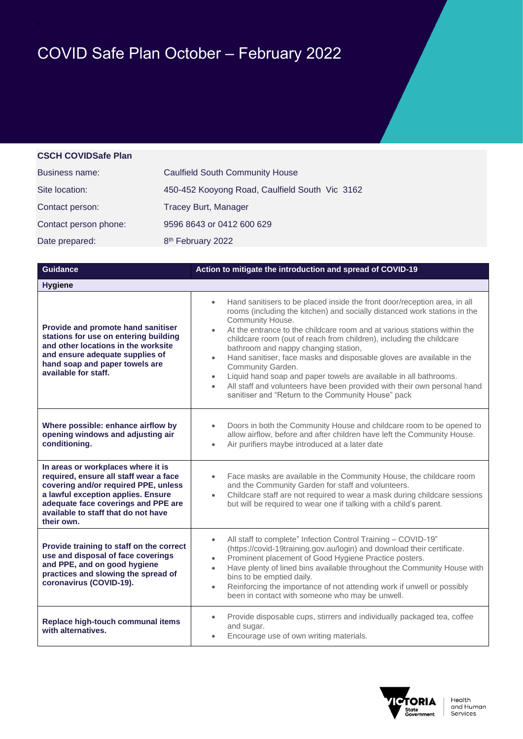## COVID Safe Plan October – February 2022

## **CSCH COVIDSafe Plan**

| <b>Business name:</b> | <b>Caulfield South Community House</b>         |
|-----------------------|------------------------------------------------|
| Site location:        | 450-452 Kooyong Road, Caulfield South Vic 3162 |
| Contact person:       | <b>Tracey Burt, Manager</b>                    |
| Contact person phone: | 9596 8643 or 0412 600 629                      |
| Date prepared:        | 8 <sup>th</sup> February 2022                  |

| <b>Guidance</b>                                                                                                                                                                                                                                        | Action to mitigate the introduction and spread of COVID-19                                                                                                                                                                                                                                                                                                                                                                                                                                                                                                                                                                                                                                                                      |  |
|--------------------------------------------------------------------------------------------------------------------------------------------------------------------------------------------------------------------------------------------------------|---------------------------------------------------------------------------------------------------------------------------------------------------------------------------------------------------------------------------------------------------------------------------------------------------------------------------------------------------------------------------------------------------------------------------------------------------------------------------------------------------------------------------------------------------------------------------------------------------------------------------------------------------------------------------------------------------------------------------------|--|
| <b>Hygiene</b>                                                                                                                                                                                                                                         |                                                                                                                                                                                                                                                                                                                                                                                                                                                                                                                                                                                                                                                                                                                                 |  |
| Provide and promote hand sanitiser<br>stations for use on entering building<br>and other locations in the worksite<br>and ensure adequate supplies of<br>hand soap and paper towels are<br>available for staff.                                        | Hand sanitisers to be placed inside the front door/reception area, in all<br>$\bullet$<br>rooms (including the kitchen) and socially distanced work stations in the<br>Community House.<br>At the entrance to the childcare room and at various stations within the<br>childcare room (out of reach from children), including the childcare<br>bathroom and nappy changing station,<br>Hand sanitiser, face masks and disposable gloves are available in the<br>$\bullet$<br>Community Garden.<br>Liquid hand soap and paper towels are available in all bathrooms.<br>$\bullet$<br>All staff and volunteers have been provided with their own personal hand<br>$\bullet$<br>sanitiser and "Return to the Community House" pack |  |
| Where possible: enhance airflow by<br>opening windows and adjusting air<br>conditioning.                                                                                                                                                               | Doors in both the Community House and childcare room to be opened to<br>$\bullet$<br>allow airflow, before and after children have left the Community House.<br>Air purifiers maybe introduced at a later date<br>$\bullet$                                                                                                                                                                                                                                                                                                                                                                                                                                                                                                     |  |
| In areas or workplaces where it is<br>required, ensure all staff wear a face<br>covering and/or required PPE, unless<br>a lawful exception applies. Ensure<br>adequate face coverings and PPE are<br>available to staff that do not have<br>their own. | Face masks are available in the Community House, the childcare room<br>$\bullet$<br>and the Community Garden for staff and volunteers.<br>Childcare staff are not required to wear a mask during childcare sessions<br>$\bullet$<br>but will be required to wear one if talking with a child's parent.                                                                                                                                                                                                                                                                                                                                                                                                                          |  |
| Provide training to staff on the correct<br>use and disposal of face coverings<br>and PPE, and on good hygiene<br>practices and slowing the spread of<br>coronavirus (COVID-19).                                                                       | All staff to complete" Infection Control Training - COVID-19"<br>$\bullet$<br>(https://covid-19training.gov.au/login) and download their certificate.<br>Prominent placement of Good Hygiene Practice posters.<br>$\bullet$<br>Have plenty of lined bins available throughout the Community House with<br>$\bullet$<br>bins to be emptied daily.<br>Reinforcing the importance of not attending work if unwell or possibly<br>$\bullet$<br>been in contact with someone who may be unwell.                                                                                                                                                                                                                                      |  |
| Replace high-touch communal items<br>with alternatives.                                                                                                                                                                                                | Provide disposable cups, stirrers and individually packaged tea, coffee<br>and sugar.<br>Encourage use of own writing materials.                                                                                                                                                                                                                                                                                                                                                                                                                                                                                                                                                                                                |  |

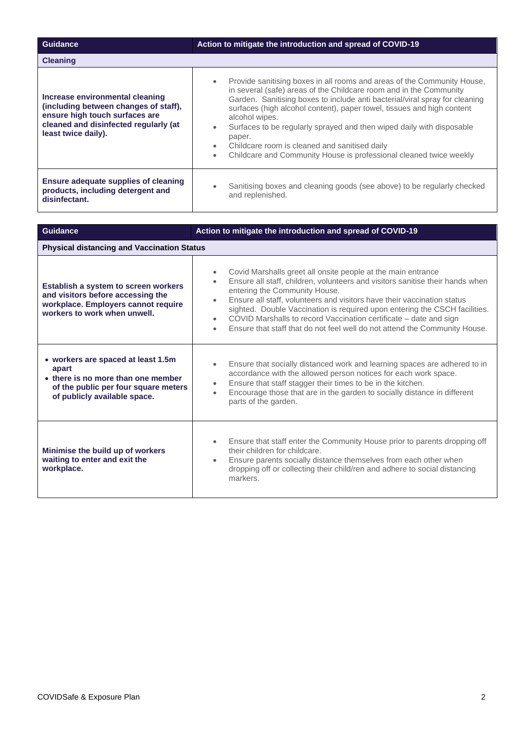| <b>Guidance</b>                                                                                                                                                            | Action to mitigate the introduction and spread of COVID-19                                                                                                                                                                                                                                                                                                                                                                                                                                                                                                   |  |
|----------------------------------------------------------------------------------------------------------------------------------------------------------------------------|--------------------------------------------------------------------------------------------------------------------------------------------------------------------------------------------------------------------------------------------------------------------------------------------------------------------------------------------------------------------------------------------------------------------------------------------------------------------------------------------------------------------------------------------------------------|--|
| <b>Cleaning</b>                                                                                                                                                            |                                                                                                                                                                                                                                                                                                                                                                                                                                                                                                                                                              |  |
| Increase environmental cleaning<br>(including between changes of staff),<br>ensure high touch surfaces are<br>cleaned and disinfected regularly (at<br>least twice daily). | Provide sanitising boxes in all rooms and areas of the Community House,<br>in several (safe) areas of the Childcare room and in the Community<br>Garden. Sanitising boxes to include anti bacterial/viral spray for cleaning<br>surfaces (high alcohol content), paper towel, tissues and high content<br>alcohol wipes.<br>Surfaces to be regularly sprayed and then wiped daily with disposable<br>paper.<br>Childcare room is cleaned and sanitised daily<br>$\bullet$<br>Childcare and Community House is professional cleaned twice weekly<br>$\bullet$ |  |
| Ensure adequate supplies of cleaning<br>products, including detergent and<br>disinfectant.                                                                                 | Sanitising boxes and cleaning goods (see above) to be regularly checked<br>and replenished.                                                                                                                                                                                                                                                                                                                                                                                                                                                                  |  |

| <b>Guidance</b>                                                                                                                                           | Action to mitigate the introduction and spread of COVID-19                                                                                                                                                                                                                                                                                                                                                                                                                                                                                                  |  |
|-----------------------------------------------------------------------------------------------------------------------------------------------------------|-------------------------------------------------------------------------------------------------------------------------------------------------------------------------------------------------------------------------------------------------------------------------------------------------------------------------------------------------------------------------------------------------------------------------------------------------------------------------------------------------------------------------------------------------------------|--|
| <b>Physical distancing and Vaccination Status</b>                                                                                                         |                                                                                                                                                                                                                                                                                                                                                                                                                                                                                                                                                             |  |
| Establish a system to screen workers<br>and visitors before accessing the<br>workplace. Employers cannot require<br>workers to work when unwell.          | Covid Marshalls greet all onsite people at the main entrance<br>$\bullet$<br>Ensure all staff, children, volunteers and visitors sanitise their hands when<br>$\bullet$<br>entering the Community House.<br>Ensure all staff, volunteers and visitors have their vaccination status<br>$\bullet$<br>sighted. Double Vaccination is required upon entering the CSCH facilities.<br>COVID Marshalls to record Vaccination certificate - date and sign<br>$\bullet$<br>Ensure that staff that do not feel well do not attend the Community House.<br>$\bullet$ |  |
| • workers are spaced at least 1.5m<br>apart<br>• there is no more than one member<br>of the public per four square meters<br>of publicly available space. | Ensure that socially distanced work and learning spaces are adhered to in<br>$\bullet$<br>accordance with the allowed person notices for each work space.<br>Ensure that staff stagger their times to be in the kitchen.<br>$\bullet$<br>Encourage those that are in the garden to socially distance in different<br>$\bullet$<br>parts of the garden.                                                                                                                                                                                                      |  |
| Minimise the build up of workers<br>waiting to enter and exit the<br>workplace.                                                                           | Ensure that staff enter the Community House prior to parents dropping off<br>$\bullet$<br>their children for childcare.<br>Ensure parents socially distance themselves from each other when<br>$\bullet$<br>dropping off or collecting their child/ren and adhere to social distancing<br>markers.                                                                                                                                                                                                                                                          |  |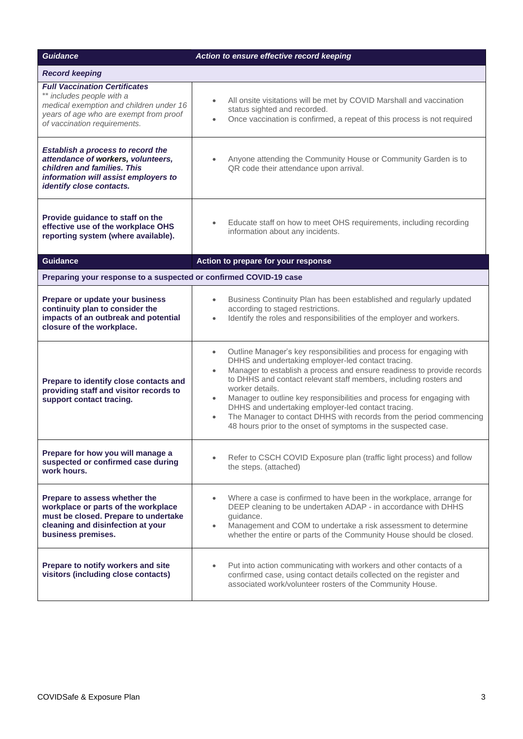| <b>Guidance</b>                                                                                                                                                                        | Action to ensure effective record keeping                                                                                                                                                                                                                                                                                                                                                                                                                                                                                                                                                                                |  |
|----------------------------------------------------------------------------------------------------------------------------------------------------------------------------------------|--------------------------------------------------------------------------------------------------------------------------------------------------------------------------------------------------------------------------------------------------------------------------------------------------------------------------------------------------------------------------------------------------------------------------------------------------------------------------------------------------------------------------------------------------------------------------------------------------------------------------|--|
| <b>Record keeping</b>                                                                                                                                                                  |                                                                                                                                                                                                                                                                                                                                                                                                                                                                                                                                                                                                                          |  |
| <b>Full Vaccination Certificates</b><br>** includes people with a<br>medical exemption and children under 16<br>years of age who are exempt from proof<br>of vaccination requirements. | All onsite visitations will be met by COVID Marshall and vaccination<br>$\bullet$<br>status sighted and recorded.<br>Once vaccination is confirmed, a repeat of this process is not required<br>$\bullet$                                                                                                                                                                                                                                                                                                                                                                                                                |  |
| Establish a process to record the<br>attendance of workers, volunteers,<br>children and families. This<br>information will assist employers to<br>identify close contacts.             | Anyone attending the Community House or Community Garden is to<br>$\bullet$<br>QR code their attendance upon arrival.                                                                                                                                                                                                                                                                                                                                                                                                                                                                                                    |  |
| Provide guidance to staff on the<br>effective use of the workplace OHS<br>reporting system (where available).                                                                          | Educate staff on how to meet OHS requirements, including recording<br>$\bullet$<br>information about any incidents.                                                                                                                                                                                                                                                                                                                                                                                                                                                                                                      |  |
| <b>Guidance</b>                                                                                                                                                                        | Action to prepare for your response                                                                                                                                                                                                                                                                                                                                                                                                                                                                                                                                                                                      |  |
| Preparing your response to a suspected or confirmed COVID-19 case                                                                                                                      |                                                                                                                                                                                                                                                                                                                                                                                                                                                                                                                                                                                                                          |  |
| Prepare or update your business<br>continuity plan to consider the<br>impacts of an outbreak and potential<br>closure of the workplace.                                                | Business Continuity Plan has been established and regularly updated<br>$\bullet$<br>according to staged restrictions.<br>Identify the roles and responsibilities of the employer and workers.<br>$\bullet$                                                                                                                                                                                                                                                                                                                                                                                                               |  |
| Prepare to identify close contacts and<br>providing staff and visitor records to<br>support contact tracing.                                                                           | Outline Manager's key responsibilities and process for engaging with<br>$\bullet$<br>DHHS and undertaking employer-led contact tracing.<br>Manager to establish a process and ensure readiness to provide records<br>$\bullet$<br>to DHHS and contact relevant staff members, including rosters and<br>worker details.<br>Manager to outline key responsibilities and process for engaging with<br>$\bullet$<br>DHHS and undertaking employer-led contact tracing.<br>The Manager to contact DHHS with records from the period commencing<br>$\bullet$<br>48 hours prior to the onset of symptoms in the suspected case. |  |
| Prepare for how you will manage a<br>suspected or confirmed case during<br>work hours.                                                                                                 | Refer to CSCH COVID Exposure plan (traffic light process) and follow<br>the steps. (attached)                                                                                                                                                                                                                                                                                                                                                                                                                                                                                                                            |  |
| Prepare to assess whether the<br>workplace or parts of the workplace<br>must be closed. Prepare to undertake<br>cleaning and disinfection at your<br>business premises.                | Where a case is confirmed to have been in the workplace, arrange for<br>$\bullet$<br>DEEP cleaning to be undertaken ADAP - in accordance with DHHS<br>guidance.<br>Management and COM to undertake a risk assessment to determine<br>$\bullet$<br>whether the entire or parts of the Community House should be closed.                                                                                                                                                                                                                                                                                                   |  |
| Prepare to notify workers and site<br>visitors (including close contacts)                                                                                                              | Put into action communicating with workers and other contacts of a<br>$\bullet$<br>confirmed case, using contact details collected on the register and<br>associated work/volunteer rosters of the Community House.                                                                                                                                                                                                                                                                                                                                                                                                      |  |